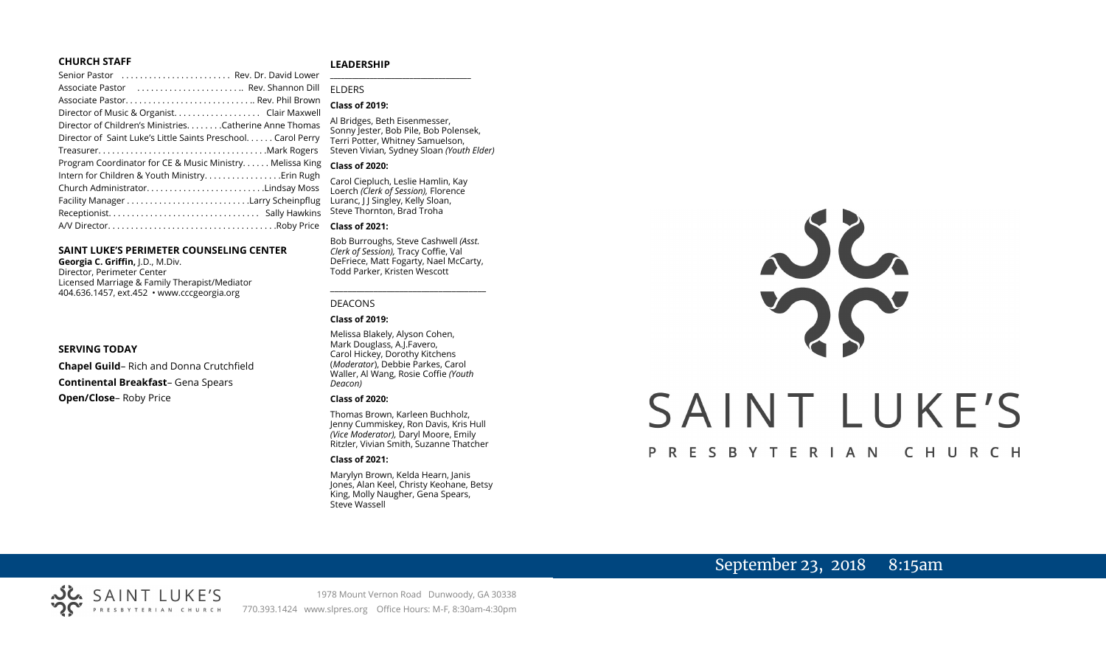#### **CHURCH STAFF**

#### **LEADERSHIP**

| Senior Pastor  Rev. Dr. David Lower                          |                                                                        |
|--------------------------------------------------------------|------------------------------------------------------------------------|
| Associate Pastor  Rev. Shannon Dill                          | <b>FIDERS</b>                                                          |
|                                                              | <b>Class of 2019:</b>                                                  |
|                                                              |                                                                        |
| Director of Children's MinistriesCatherine Anne Thomas       | Al Bridges, Beth Eisenmesser,                                          |
| Director of Saint Luke's Little Saints Preschool Carol Perry | Sonny Jester, Bob Pile, Bob Polens<br>Terri Potter, Whitney Samuelson, |
|                                                              | Steven Vivian, Sydney Sloan (Youth                                     |
| Program Coordinator for CE & Music Ministry. Melissa King    | <b>Class of 2020:</b>                                                  |
|                                                              | Carol Ciepluch, Leslie Hamlin, Kay                                     |
| Church AdministratorLindsay Moss                             | Loerch (Clerk of Session), Florence                                    |
|                                                              | Luranc, J J Singley, Kelly Sloan,                                      |
|                                                              | Steve Thornton, Brad Troha                                             |
|                                                              | <b>Class of 2021:</b>                                                  |
|                                                              |                                                                        |

#### **SAINT LUKE'S PERIMETER COUNSELING CENTER**

**Georgia C. Griffin,** J.D., M.Div. Director, Perimeter Center Licensed Marriage & Family Therapist/Mediator 404.636.1457, ext.452 • www.cccgeorgia.org

#### **SERVING TODAY**

**Chapel Guild**– Rich and Donna Crutchfield **Continental Breakfast**– Gena Spears **Open/Close**– Roby Price

#### Al Bridges, Beth Eisenmesser, Sonny Jester, Bob Pile, Bob Polensek, Terri Potter, Whitney Samuelson, Steven Vivian*,* Sydney Sloan *(Youth Elder)*

#### **Class of 2020:**

#### **Class of 2021:**

Bob Burroughs, Steve Cashwell *(Asst. Clerk of Session),* Tracy Coffie, Val DeFriece, Matt Fogarty, Nael McCarty, Todd Parker, Kristen Wescott

\_\_\_\_\_\_\_\_\_\_\_\_\_\_\_\_\_\_\_\_\_\_\_\_\_\_\_\_\_\_\_\_\_\_\_\_

#### DEACONS

#### **Class of 2019:**

Melissa Blakely, Alyson Cohen, Mark Douglass, A.J.Favero, Carol Hickey, Dorothy Kitchens (*Moderator*), Debbie Parkes, Carol Waller, Al Wang, Rosie Coffie *(Youth Deacon)* 

#### **Class of 2020:**

Thomas Brown, Karleen Buchholz, Jenny Cummiskey, Ron Davis, Kris Hull *(Vice Moderator),* Daryl Moore, Emily Ritzler, Vivian Smith, Suzanne Thatcher

#### **Class of 2021:**

Marylyn Brown, Kelda Hearn, Janis Jones, Alan Keel, Christy Keohane, Betsy King, Molly Naugher, Gena Spears, Steve Wassell

# NG SAINT LUKE'S PRESBYTERIAN CHURCH

## September 23, 2018 8:15am

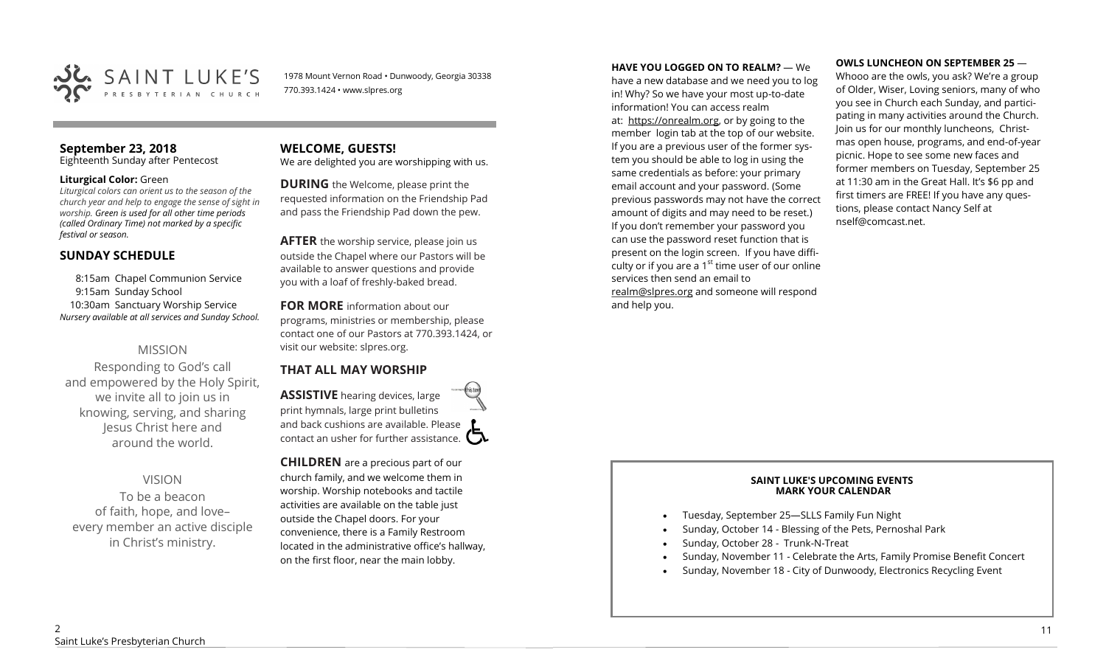

1978 Mount Vernon Road • Dunwoody, Georgia 30338 770.393.1424 • www.slpres.org

## **September 23, 2018**

Eighteenth Sunday after Pentecost

#### **Liturgical Color:** Green

*Liturgical colors can orient us to the season of the church year and help to engage the sense of sight in worship. Green is used for all other time periods (called Ordinary Time) not marked by a specific festival or season.*

#### **SUNDAY SCHEDULE**

8:15am Chapel Communion Service 9:15am Sunday School 10:30am Sanctuary Worship Service *Nursery available at all services and Sunday School.* 

#### MISSION

Responding to God's call and empowered by the Holy Spirit, we invite all to join us in knowing, serving, and sharing Jesus Christ here and around the world.

## VISION

To be a beacon of faith, hope, and love– every member an active disciple in Christ's ministry.

#### **WELCOME, GUESTS!**  We are delighted you are worshipping with us.

**DURING** the Welcome, please print the requested information on the Friendship Pad and pass the Friendship Pad down the pew.

**AFTER** the worship service, please join us outside the Chapel where our Pastors will be available to answer questions and provide you with a loaf of freshly-baked bread.

# **FOR MORE** information about our

programs, ministries or membership, please contact one of our Pastors at 770.393.1424, or visit our website: slpres.org.

## **THAT ALL MAY WORSHIP**

**ASSISTIVE** hearing devices, large print hymnals, large print bulletins and back cushions are available. Please contact an usher for further assistance.  $\square$ 

**CHILDREN** are a precious part of our church family, and we welcome them in worship. Worship notebooks and tactile activities are available on the table just outside the Chapel doors. For your convenience, there is a Family Restroom located in the administrative office's hallway, on the first floor, near the main lobby.

**HAVE YOU LOGGED ON TO REALM?** — We

have a new database and we need you to log in! Why? So we have your most up-to-date information! You can access realm at: [https://onrealm.org,](https://onrealm.org) or by going to the member login tab at the top of our website. If you are a previous user of the former system you should be able to log in using the same credentials as before: your primary email account and your password. (Some previous passwords may not have the correct amount of digits and may need to be reset.) If you don't remember your password you can use the password reset function that is present on the login screen. If you have difficulty or if you are a  $1<sup>st</sup>$  time user of our online services then send an email to [realm@slpres.org](mailto:realm@slpres.org) and someone will respond and help you.

#### **OWLS LUNCHEON ON SEPTEMBER 25** —

Whooo are the owls, you ask? We're a group of Older, Wiser, Loving seniors, many of who you see in Church each Sunday, and participating in many activities around the Church. Join us for our monthly luncheons, Christmas open house, programs, and end-of-year picnic. Hope to see some new faces and former members on Tuesday, September 25 at 11:30 am in the Great Hall. It's \$6 pp and first timers are FREE! If you have any questions, please contact Nancy Self at nself@comcast.net.

#### **SAINT LUKE'S UPCOMING EVENTS MARK YOUR CALENDAR**

- Tuesday, September 25—SLLS Family Fun Night
- Sunday, October 14 Blessing of the Pets, Pernoshal Park
- Sunday, October 28 Trunk-N-Treat
- Sunday, November 11 Celebrate the Arts, Family Promise Benefit Concert
- Sunday, November 18 City of Dunwoody, Electronics Recycling Event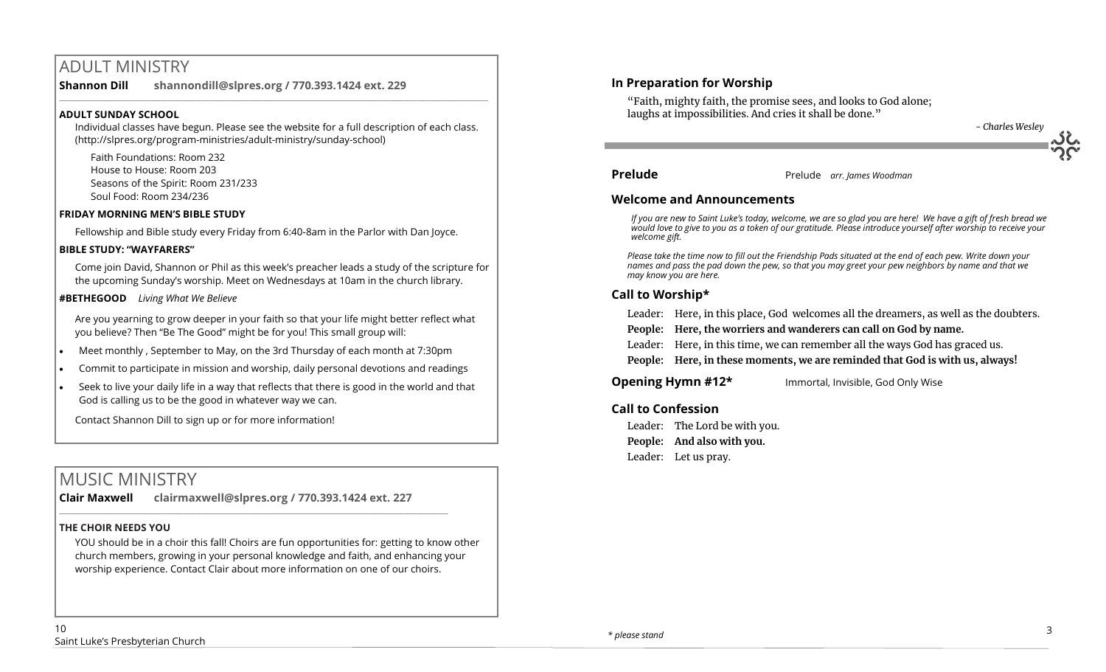# ADULT MINISTRY

**Shannon Dill shannondill@slpres.org / 770.393.1424 ext. 229** 

#### **ADULT SUNDAY SCHOOL**

Individual classes have begun. Please see the website for a full description of each class. (http://slpres.org/program-ministries/adult-ministry/sunday-school)

 $\_$  ,  $\_$  ,  $\_$  ,  $\_$  ,  $\_$  ,  $\_$  ,  $\_$  ,  $\_$  ,  $\_$  ,  $\_$  ,  $\_$  ,  $\_$  ,  $\_$  ,  $\_$  ,  $\_$  ,  $\_$  ,  $\_$  ,  $\_$  ,  $\_$ 

Faith Foundations: Room 232 House to House: Room 203 Seasons of the Spirit: Room 231/233 Soul Food: Room 234/236

#### **FRIDAY MORNING MEN'S BIBLE STUDY**

Fellowship and Bible study every Friday from 6:40-8am in the Parlor with Dan Joyce.

#### **BIBLE STUDY: "WAYFARERS"**

Come join David, Shannon or Phil as this week's preacher leads a study of the scripture for the upcoming Sunday's worship. Meet on Wednesdays at 10am in the church library.

#### **#BETHEGOOD** *Living What We Believe*

Are you yearning to grow deeper in your faith so that your life might better reflect what you believe? Then "Be The Good" might be for you! This small group will:

- Meet monthly , September to May, on the 3rd Thursday of each month at 7:30pm
- Commit to participate in mission and worship, daily personal devotions and readings
- Seek to live your daily life in a way that reflects that there is good in the world and that God is calling us to be the good in whatever way we can.

Contact Shannon Dill to sign up or for more information!

# MUSIC MINISTRY

**Clair Maxwell clairmaxwell@slpres.org / 770.393.1424 ext. 227** 

\_\_\_\_\_\_\_\_\_\_\_\_\_\_\_\_\_\_\_\_\_\_\_\_\_\_\_\_\_\_\_\_\_\_\_\_\_\_\_\_\_\_\_\_\_\_\_\_\_\_\_\_\_\_\_\_\_\_\_\_\_\_\_\_\_\_\_\_\_\_\_\_\_\_\_\_\_\_\_\_\_\_\_\_\_\_\_\_

#### **THE CHOIR NEEDS YOU**

YOU should be in a choir this fall! Choirs are fun opportunities for: getting to know other church members, growing in your personal knowledge and faith, and enhancing your worship experience. Contact Clair about more information on one of our choirs.

#### **In Preparation for Worship**

"Faith, mighty faith, the promise sees, and looks to God alone; laughs at impossibilities. And cries it shall be done."



**Prelude** Prelude*arr. James Woodman*

#### **Welcome and Announcements**

*If you are new to Saint Luke's today, welcome, we are so glad you are here! We have a gift of fresh bread we would love to give to you as a token of our gratitude. Please introduce yourself after worship to receive your welcome gift.*

*Please take the time now to fill out the Friendship Pads situated at the end of each pew. Write down your names and pass the pad down the pew, so that you may greet your pew neighbors by name and that we may know you are here.*

#### **Call to Worship\***

Leader: Here, in this place, God welcomes all the dreamers, as well as the doubters.

**People: Here, the worriers and wanderers can call on God by name.**

Leader: Here, in this time, we can remember all the ways God has graced us.

**People: Here, in these moments, we are reminded that God is with us, always!**

#### **Opening Hymn #12\*** Immortal, Invisible, God Only Wise

#### **Call to Confession**

Leader: The Lord be with you. **People: And also with you.**  Leader: Let us pray.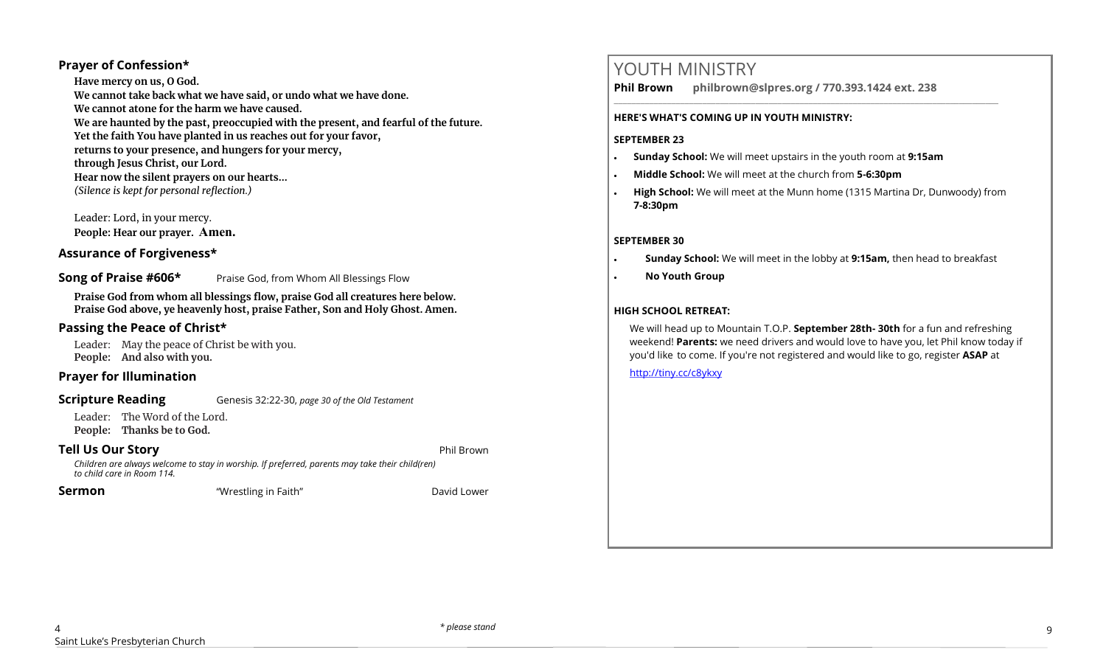#### **Prayer of Confession\***

**Have mercy on us, O God. We cannot take back what we have said, or undo what we have done. We cannot atone for the harm we have caused. We are haunted by the past, preoccupied with the present, and fearful of the future. Yet the faith You have planted in us reaches out for your favor, returns to your presence, and hungers for your mercy, through Jesus Christ, our Lord. Hear now the silent prayers on our hearts...** *(Silence is kept for personal reflection.)*

Leader: Lord, in your mercy. **People: Hear our prayer. Amen.**

#### **Assurance of Forgiveness\***

#### **Song of Praise #606\*** Praise God, from Whom All Blessings Flow

**Praise God from whom all blessings flow, praise God all creatures here below. Praise God above, ye heavenly host, praise Father, Son and Holy Ghost. Amen.**

#### **Passing the Peace of Christ\***

Leader: May the peace of Christ be with you. **People: And also with you.** 

#### **Prayer for Illumination**

**Scripture Reading** Genesis 32:22-30, *page 30 of the Old Testament* 

Leader: The Word of the Lord. **People: Thanks be to God.** 

#### **Tell Us Our Story Phil Brown and Story <b>Phil Brown**

*Children are always welcome to stay in worship. If preferred, parents may take their child(ren) to child care in Room 114.*

**Sermon** "Wrestling in Faith" David Lower

# YOUTH MINISTRY

**Phil Brown philbrown@slpres.org / 770.393.1424 ext. 238** 

#### **HERE'S WHAT'S COMING UP IN YOUTH MINISTRY:**

#### **SEPTEMBER 23**

- **Sunday School:** We will meet upstairs in the youth room at **9:15am**
- **Middle School:** We will meet at the church from **5-6:30pm**
- **High School:** We will meet at the Munn home (1315 Martina Dr, Dunwoody) from **7-8:30pm**

\_\_\_\_\_\_\_\_\_\_\_\_\_\_\_\_\_\_\_\_\_\_\_\_\_\_\_\_\_\_\_\_\_\_\_\_\_\_\_\_\_\_\_\_\_\_\_\_\_\_\_\_\_\_\_\_\_\_\_\_\_\_\_\_\_\_\_\_\_\_\_\_\_\_\_\_\_\_\_\_\_\_\_\_\_\_\_

#### **SEPTEMBER 30**

- **Sunday School:** We will meet in the lobby at **9:15am,** then head to breakfast
- **No Youth Group**

#### **HIGH SCHOOL RETREAT:**

We will head up to Mountain T.O.P. **September 28th- 30th** for a fun and refreshing weekend! **Parents:** we need drivers and would love to have you, let Phil know today if you'd like to come. If you're not registered and would like to go, register **ASAP** at

#### <http://tiny.cc/c8ykxy>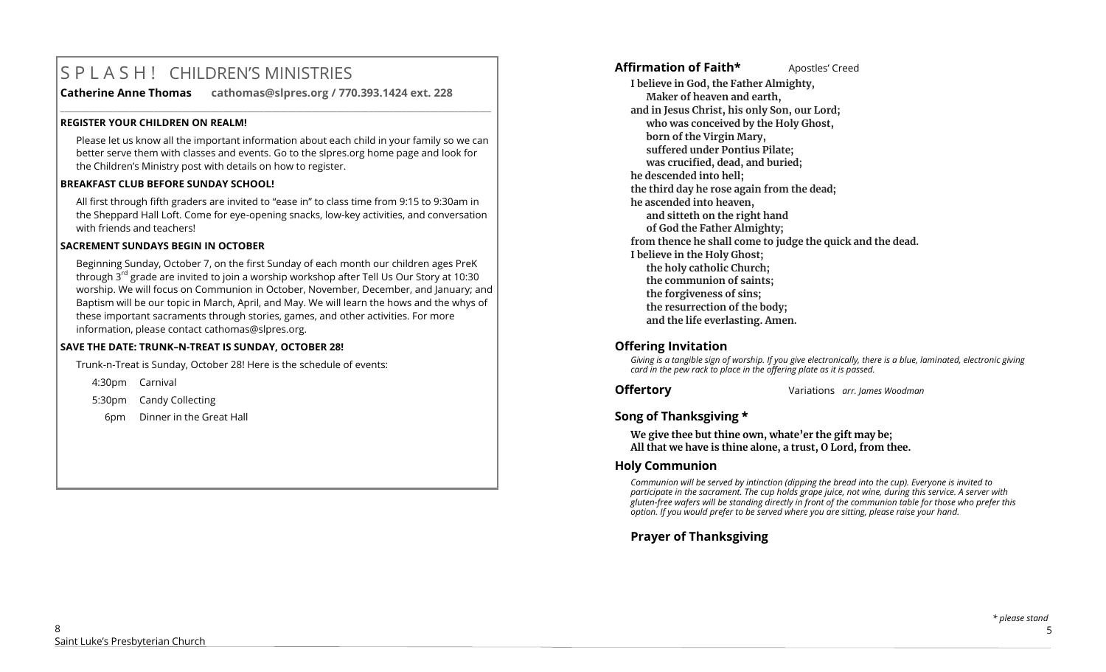# S P L A S H ! CHILDREN'S MINISTRIES

**Catherine Anne Thomas cathomas@slpres.org / 770.393.1424 ext. 228** 

#### **REGISTER YOUR CHILDREN ON REALM!**

Please let us know all the important information about each child in your family so we can better serve them with classes and events. Go to the slpres.org home page and look for the Children's Ministry post with details on how to register.

**\_\_\_\_\_\_\_\_\_\_\_\_\_\_\_\_\_\_\_\_\_\_\_\_\_\_\_\_\_\_\_\_\_\_\_\_\_\_\_\_\_\_\_\_\_\_\_\_\_\_\_\_\_\_\_\_\_\_\_\_\_\_\_\_\_\_\_\_\_\_\_\_\_\_\_\_\_\_\_\_\_\_\_\_\_\_\_\_\_\_\_\_\_\_\_\_\_\_\_\_\_\_\_\_\_\_** 

#### **BREAKFAST CLUB BEFORE SUNDAY SCHOOL!**

All first through fifth graders are invited to "ease in" to class time from 9:15 to 9:30am in the Sheppard Hall Loft. Come for eye-opening snacks, low-key activities, and conversation with friends and teachers!

#### **SACREMENT SUNDAYS BEGIN IN OCTOBER**

Beginning Sunday, October 7, on the first Sunday of each month our children ages PreK through  $3^{rd}$  grade are invited to join a worship workshop after Tell Us Our Story at 10:30 worship. We will focus on Communion in October, November, December, and January; and Baptism will be our topic in March, April, and May. We will learn the hows and the whys of these important sacraments through stories, games, and other activities. For more information, please contact [cathomas@slpres.org.](mailto:cathomas@slpres.org) 

#### **SAVE THE DATE: TRUNK–N-TREAT IS SUNDAY, OCTOBER 28!**

Trunk-n-Treat is Sunday, October 28! Here is the schedule of events:

4:30pm Carnival

5:30pm Candy Collecting

6pm Dinner in the Great Hall

#### **Affirmation of Faith\*** Apostles' Creed

**I believe in God, the Father Almighty, Maker of heaven and earth, and in Jesus Christ, his only Son, our Lord; who was conceived by the Holy Ghost, born of the Virgin Mary, suffered under Pontius Pilate; was crucified, dead, and buried; he descended into hell; the third day he rose again from the dead; he ascended into heaven, and sitteth on the right hand of God the Father Almighty; from thence he shall come to judge the quick and the dead. I believe in the Holy Ghost; the holy catholic Church; the communion of saints; the forgiveness of sins; the resurrection of the body; and the life everlasting. Amen.**

#### **Offering Invitation**

*Giving is a tangible sign of worship. If you give electronically, there is a blue, laminated, electronic giving card in the pew rack to place in the offering plate as it is passed.*

**Offertory** Variations *arr. James Woodman*

#### **Song of Thanksgiving**

**We give thee but thine own, whate'er the gift may be; All that we have is thine alone, a trust, O Lord, from thee.**

#### **Holy Communion**

*Communion will be served by intinction (dipping the bread into the cup). Everyone is invited to participate in the sacrament. The cup holds grape juice, not wine, during this service. A server with gluten-free wafers will be standing directly in front of the communion table for those who prefer this option. If you would prefer to be served where you are sitting, please raise your hand.*

**Prayer of Thanksgiving**